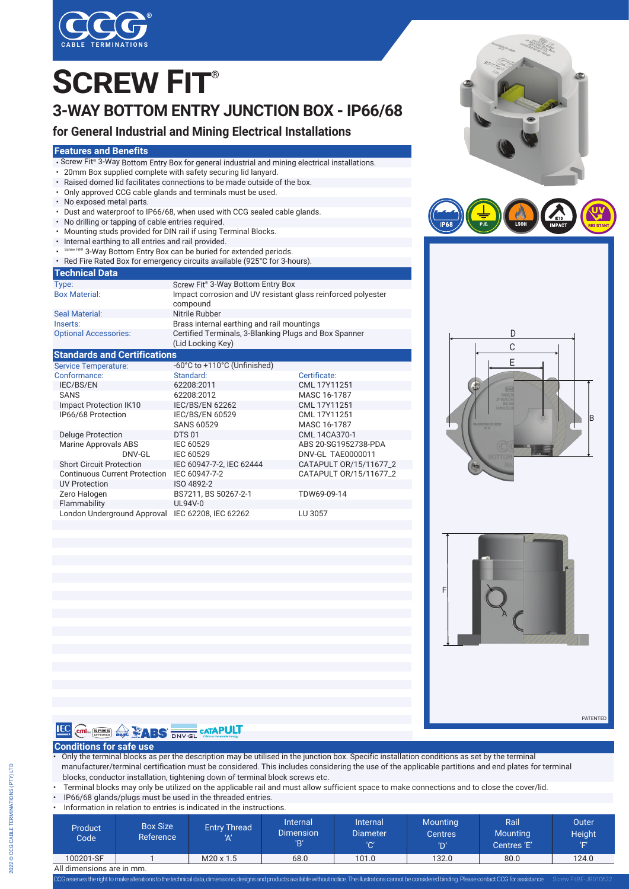

# **3-WAY BOTTOM ENTRY JUNCTION BOX - IP66/68 SCREW FIT**®

### **for General Industrial and Mining Electrical Installations**

#### **Features and Benefits**

- Screw Fit® 3-Way Bottom Entry Box for general industrial and mining electrical installations.
- 20mm Box supplied complete with safety securing lid lanyard.
- Raised domed lid facilitates connections to be made outside of the box.<br>• Only approved CCG cable glands and terminals must be used.
- Only approved CCG cable glands and terminals must be used.
- No exposed metal parts.
- Dust and waterproof to IP66/68, when used with CCG sealed cable glands.
- No drilling or tapping of cable entries required.
- Mounting studs provided for DIN rail if using Terminal Blocks.
- Internal earthing to all entries and rail provided.
- t® 3-Way Bottom Entry Box can be buried for extended periods.
- Red Fire Rated Box for emergency circuits available (925°C for 3-hours).

#### **Technical Data**

| Type:                               | Screw Fit <sup>®</sup> 3-Way Bottom Entry Box                              |              |  |  |  |
|-------------------------------------|----------------------------------------------------------------------------|--------------|--|--|--|
| <b>Box Material:</b>                | Impact corrosion and UV resistant glass reinforced polyester<br>compound   |              |  |  |  |
| <b>Seal Material:</b>               | Nitrile Rubber                                                             |              |  |  |  |
| Inserts:                            | Brass internal earthing and rail mountings                                 |              |  |  |  |
| <b>Optional Accessories:</b>        | Certified Terminals, 3-Blanking Plugs and Box Spanner<br>(Lid Locking Key) |              |  |  |  |
| <b>Standards and Certifications</b> |                                                                            |              |  |  |  |
| <b>Service Temperature:</b>         | -60°C to +110°C (Unfinished)                                               |              |  |  |  |
| Conformance:                        | Standard:                                                                  | Certificate: |  |  |  |

| Conformance:                         | Standard:                | Certificate:           |
|--------------------------------------|--------------------------|------------------------|
| IEC/BS/EN                            | 62208:2011               | CML 17Y11251           |
| <b>SANS</b>                          | 62208:2012               | MASC 16-1787           |
| Impact Protection IK10               | <b>IEC/BS/EN 62262</b>   | CML 17Y11251           |
| IP66/68 Protection                   | <b>IEC/BS/EN 60529</b>   | CML 17Y11251           |
|                                      | <b>SANS 60529</b>        | MASC 16-1787           |
| <b>Deluge Protection</b>             | <b>DTS 01</b>            | CML 14CA370-1          |
| Marine Approvals ABS                 | IEC 60529                | ABS 20-SG1952738-PDA   |
| DNV-GL                               | IEC 60529                | DNV-GL TAE0000011      |
| <b>Short Circuit Protection</b>      | IEC 60947-7-2. IEC 62444 | CATAPULT 0R/15/11677 2 |
| <b>Continuous Current Protection</b> | IEC 60947-7-2            | CATAPULT OR/15/11677 2 |
| <b>UV Protection</b>                 | ISO 4892-2               |                        |
| Zero Halogen                         | BS7211, BS 50267-2-1     | TDW69-09-14            |
| Flammability                         | UL94V-0                  |                        |
| London Underground Approval          | IEC 62208. IEC 62262     | LU 3057                |









PATENTED

Screw FitBE-JB010622



#### **Conditions for safe use**

• Only the terminal blocks as per the description may be utilised in the junction box. Specific installation conditions as set by the terminal manufacturer/terminal certification must be considered. This includes considering the use of the applicable partitions and end plates for terminal blocks, conductor installation, tightening down of terminal block screws etc.

- Terminal blocks may only be utilized on the applicable rail and must allow sufficient space to make connections and to close the cover/lid.
- IP66/68 glands/plugs must be used in the threaded entries.
- Information in relation to entries is indicated in the instruction

| <u>MIDIMIQUON INTERANDITO ENTIES IS MUIUALEU IN TIE MSTEUCHUIS.</u> |                              |                            |                                     |                                    |                                          |                                        |                             |  |
|---------------------------------------------------------------------|------------------------------|----------------------------|-------------------------------------|------------------------------------|------------------------------------------|----------------------------------------|-----------------------------|--|
| Product<br>Code <sup>1</sup>                                        | <b>Box Size</b><br>Reference | <b>Entry Thread</b><br>'۸٬ | Internal<br><b>Dimension</b><br>יםי | Internal<br><b>Diameter</b><br>'C' | <b>Mounting</b><br><b>Centres</b><br>'ח' | Rail<br><b>Mounting</b><br>Centres 'E' | Outer<br><b>Height</b><br>T |  |
| 100201-SF                                                           |                              | $M20 \times 1.5$           | 68.0                                | 101.0                              | 132.0                                    | 80.0                                   | 124.0                       |  |